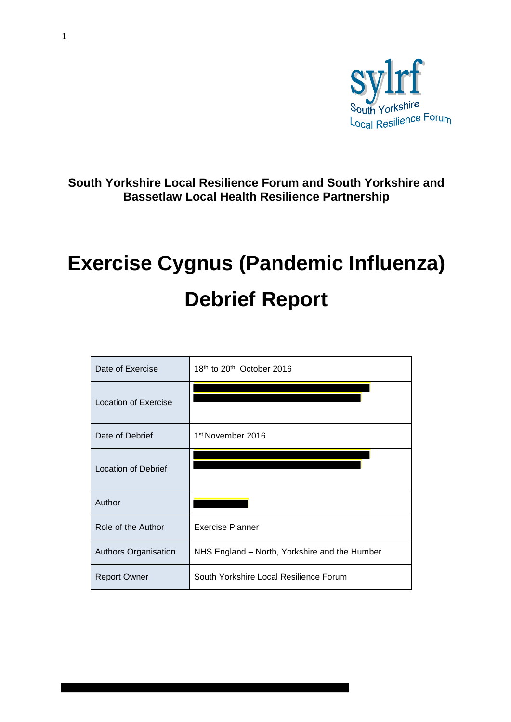

**South Yorkshire Local Resilience Forum and South Yorkshire and Bassetlaw Local Health Resilience Partnership** 

# **Exercise Cygnus (Pandemic Influenza) Debrief Report**

| Date of Exercise           | 18th to 20th October 2016                     |
|----------------------------|-----------------------------------------------|
| Location of Exercise       |                                               |
| Date of Debrief            | 1 <sup>st</sup> November 2016                 |
| <b>Location of Debrief</b> |                                               |
| Author                     |                                               |
| Role of the Author         | <b>Exercise Planner</b>                       |
| Authors Organisation       | NHS England - North, Yorkshire and the Humber |
| <b>Report Owner</b>        | South Yorkshire Local Resilience Forum        |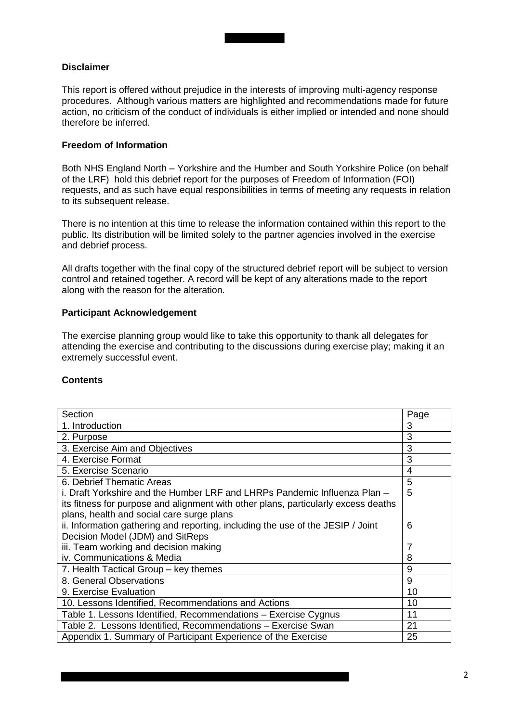#### **Disclaimer**

This report is offered without prejudice in the interests of improving multi-agency response procedures. Although various matters are highlighted and recommendations made for future action, no criticism of the conduct of individuals is either implied or intended and none should therefore be inferred.

#### **Freedom of Information**

Both NHS England North – Yorkshire and the Humber and South Yorkshire Police (on behalf of the LRF) hold this debrief report for the purposes of Freedom of Information (FOI) requests, and as such have equal responsibilities in terms of meeting any requests in relation to its subsequent release.

There is no intention at this time to release the information contained within this report to the public. Its distribution will be limited solely to the partner agencies involved in the exercise and debrief process.

All drafts together with the final copy of the structured debrief report will be subject to version control and retained together. A record will be kept of any alterations made to the report along with the reason for the alteration.

#### **Participant Acknowledgement**

The exercise planning group would like to take this opportunity to thank all delegates for attending the exercise and contributing to the discussions during exercise play; making it an extremely successful event.

#### **Contents**

| Section                                                                            | Page |  |  |  |
|------------------------------------------------------------------------------------|------|--|--|--|
| 1. Introduction                                                                    | 3    |  |  |  |
| 2. Purpose                                                                         | 3    |  |  |  |
| 3. Exercise Aim and Objectives                                                     | 3    |  |  |  |
| 4. Exercise Format                                                                 | 3    |  |  |  |
| 5. Exercise Scenario                                                               | 4    |  |  |  |
| 6. Debrief Thematic Areas                                                          | 5    |  |  |  |
| i. Draft Yorkshire and the Humber LRF and LHRPs Pandemic Influenza Plan –          | 5    |  |  |  |
| its fitness for purpose and alignment with other plans, particularly excess deaths |      |  |  |  |
| plans, health and social care surge plans                                          |      |  |  |  |
| ii. Information gathering and reporting, including the use of the JESIP / Joint    |      |  |  |  |
| Decision Model (JDM) and SitReps                                                   |      |  |  |  |
| iii. Team working and decision making                                              | 7    |  |  |  |
| iv. Communications & Media                                                         | 8    |  |  |  |
| 7. Health Tactical Group - key themes                                              | 9    |  |  |  |
| 8. General Observations                                                            | 9    |  |  |  |
| 9. Exercise Evaluation                                                             | 10   |  |  |  |
| 10. Lessons Identified, Recommendations and Actions                                | 10   |  |  |  |
| Table 1. Lessons Identified, Recommendations - Exercise Cygnus                     | 11   |  |  |  |
| Table 2. Lessons Identified, Recommendations - Exercise Swan                       | 21   |  |  |  |
| Appendix 1. Summary of Participant Experience of the Exercise                      | 25   |  |  |  |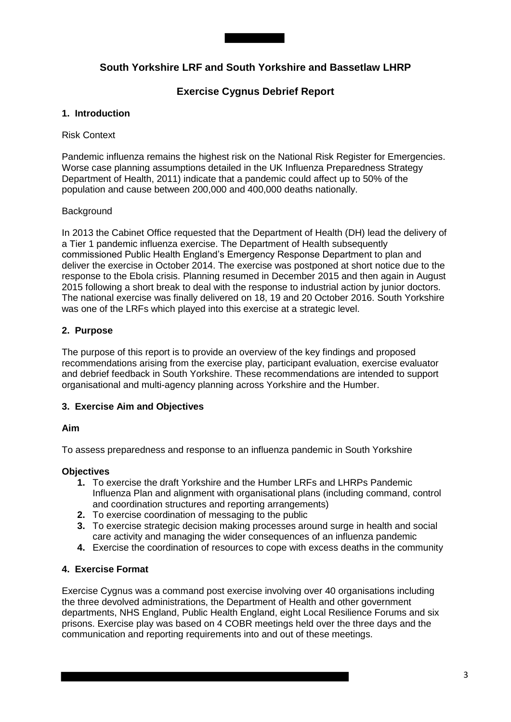

# **South Yorkshire LRF and South Yorkshire and Bassetlaw LHRP**

# **Exercise Cygnus Debrief Report**

#### **1. Introduction**

#### Risk Context

Pandemic influenza remains the highest risk on the National Risk Register for Emergencies. Worse case planning assumptions detailed in the UK Influenza Preparedness Strategy Department of Health, 2011) indicate that a pandemic could affect up to 50% of the population and cause between 200,000 and 400,000 deaths nationally.

#### Background

In 2013 the Cabinet Office requested that the Department of Health (DH) lead the delivery of a Tier 1 pandemic influenza exercise. The Department of Health subsequently commissioned Public Health England's Emergency Response Department to plan and deliver the exercise in October 2014. The exercise was postponed at short notice due to the response to the Ebola crisis. Planning resumed in December 2015 and then again in August 2015 following a short break to deal with the response to industrial action by junior doctors. The national exercise was finally delivered on 18, 19 and 20 October 2016. South Yorkshire was one of the LRFs which played into this exercise at a strategic level.

# **2. Purpose**

The purpose of this report is to provide an overview of the key findings and proposed recommendations arising from the exercise play, participant evaluation, exercise evaluator and debrief feedback in South Yorkshire. These recommendations are intended to support organisational and multi-agency planning across Yorkshire and the Humber.

# **3. Exercise Aim and Objectives**

#### **Aim**

To assess preparedness and response to an influenza pandemic in South Yorkshire

#### **Objectives**

- **1.** To exercise the draft Yorkshire and the Humber LRFs and LHRPs Pandemic Influenza Plan and alignment with organisational plans (including command, control and coordination structures and reporting arrangements)
- **2.** To exercise coordination of messaging to the public
- **3.** To exercise strategic decision making processes around surge in health and social care activity and managing the wider consequences of an influenza pandemic
- **4.** Exercise the coordination of resources to cope with excess deaths in the community

# **4. Exercise Format**

Exercise Cygnus was a command post exercise involving over 40 organisations including the three devolved administrations, the Department of Health and other government departments, NHS England, Public Health England, eight Local Resilience Forums and six prisons. Exercise play was based on 4 COBR meetings held over the three days and the communication and reporting requirements into and out of these meetings.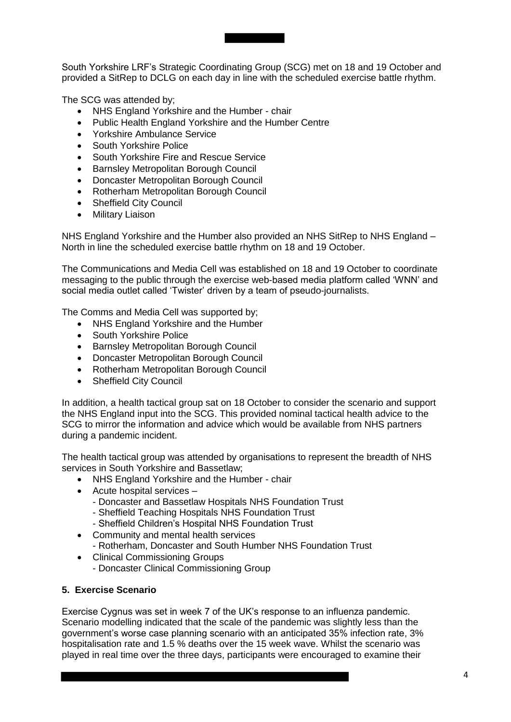South Yorkshire LRF's Strategic Coordinating Group (SCG) met on 18 and 19 October and provided a SitRep to DCLG on each day in line with the scheduled exercise battle rhythm.

The SCG was attended by;

- NHS England Yorkshire and the Humber chair
- Public Health England Yorkshire and the Humber Centre
- Yorkshire Ambulance Service
- South Yorkshire Police
- South Yorkshire Fire and Rescue Service
- Barnsley Metropolitan Borough Council
- Doncaster Metropolitan Borough Council
- Rotherham Metropolitan Borough Council
- Sheffield City Council
- **•** Military Liaison

NHS England Yorkshire and the Humber also provided an NHS SitRep to NHS England – North in line the scheduled exercise battle rhythm on 18 and 19 October.

The Communications and Media Cell was established on 18 and 19 October to coordinate messaging to the public through the exercise web-based media platform called 'WNN' and social media outlet called 'Twister' driven by a team of pseudo-journalists.

The Comms and Media Cell was supported by;

- NHS England Yorkshire and the Humber
- South Yorkshire Police
- **Barnsley Metropolitan Borough Council**
- Doncaster Metropolitan Borough Council
- Rotherham Metropolitan Borough Council
- Sheffield City Council

In addition, a health tactical group sat on 18 October to consider the scenario and support the NHS England input into the SCG. This provided nominal tactical health advice to the SCG to mirror the information and advice which would be available from NHS partners during a pandemic incident.

The health tactical group was attended by organisations to represent the breadth of NHS services in South Yorkshire and Bassetlaw;

- NHS England Yorkshire and the Humber chair
- Acute hospital services
	- Doncaster and Bassetlaw Hospitals NHS Foundation Trust
	- Sheffield Teaching Hospitals NHS Foundation Trust
	- Sheffield Children's Hospital NHS Foundation Trust
- Community and mental health services - Rotherham, Doncaster and South Humber NHS Foundation Trust
- Clinical Commissioning Groups - Doncaster Clinical Commissioning Group

#### **5. Exercise Scenario**

Exercise Cygnus was set in week 7 of the UK's response to an influenza pandemic. Scenario modelling indicated that the scale of the pandemic was slightly less than the government's worse case planning scenario with an anticipated 35% infection rate, 3% hospitalisation rate and 1.5 % deaths over the 15 week wave. Whilst the scenario was played in real time over the three days, participants were encouraged to examine their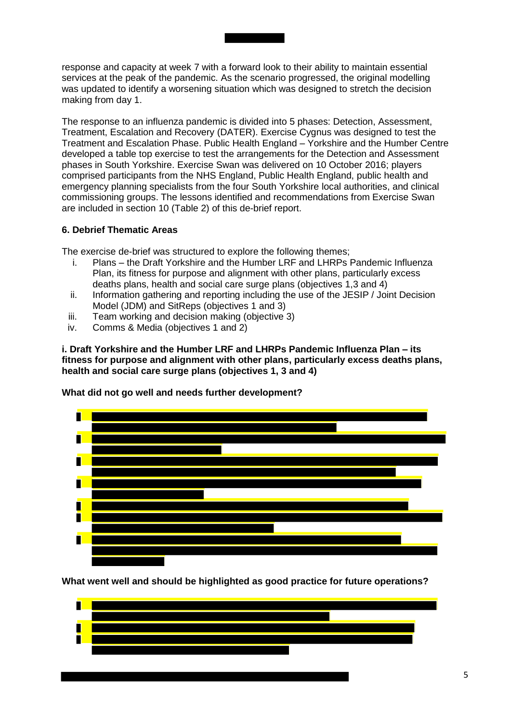response and capacity at week 7 with a forward look to their ability to maintain essential services at the peak of the pandemic. As the scenario progressed, the original modelling was updated to identify a worsening situation which was designed to stretch the decision making from day 1.

The response to an influenza pandemic is divided into 5 phases: Detection, Assessment, Treatment, Escalation and Recovery (DATER). Exercise Cygnus was designed to test the Treatment and Escalation Phase. Public Health England – Yorkshire and the Humber Centre developed a table top exercise to test the arrangements for the Detection and Assessment phases in South Yorkshire. Exercise Swan was delivered on 10 October 2016; players comprised participants from the NHS England, Public Health England, public health and emergency planning specialists from the four South Yorkshire local authorities, and clinical commissioning groups. The lessons identified and recommendations from Exercise Swan are included in section 10 (Table 2) of this de-brief report.

#### **6. Debrief Thematic Areas**

The exercise de-brief was structured to explore the following themes;

- i. Plans the Draft Yorkshire and the Humber LRF and LHRPs Pandemic Influenza Plan, its fitness for purpose and alignment with other plans, particularly excess deaths plans, health and social care surge plans (objectives 1,3 and 4)
- ii. Information gathering and reporting including the use of the JESIP / Joint Decision Model (JDM) and SitReps (objectives 1 and 3)
- iii. Team working and decision making (objective 3)
- iv. Comms & Media (objectives 1 and 2)

**i. Draft Yorkshire and the Humber LRF and LHRPs Pandemic Influenza Plan – its fitness for purpose and alignment with other plans, particularly excess deaths plans, health and social care surge plans (objectives 1, 3 and 4)** 

**What did not go well and needs further development?** 



**What went well and should be highlighted as good practice for future operations?** 

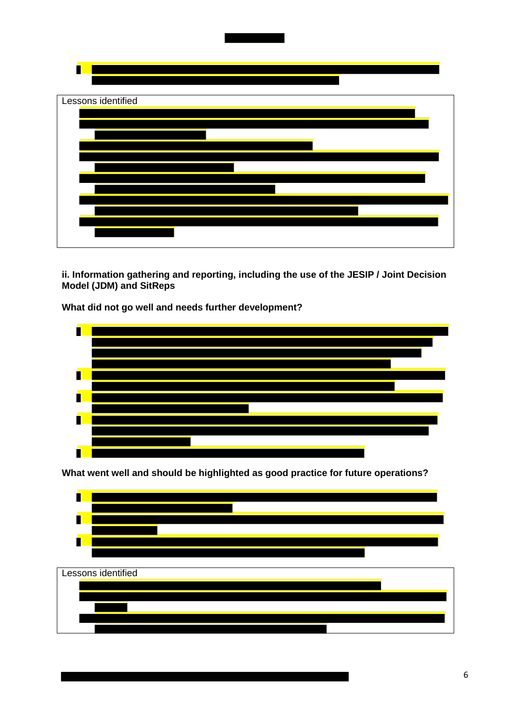

**ii. Information gathering and reporting, including the use of the JESIP / Joint Decision Model (JDM) and SitReps** 

**What did not go well and needs further development?** 



**What went well and should be highlighted as good practice for future operations?** 



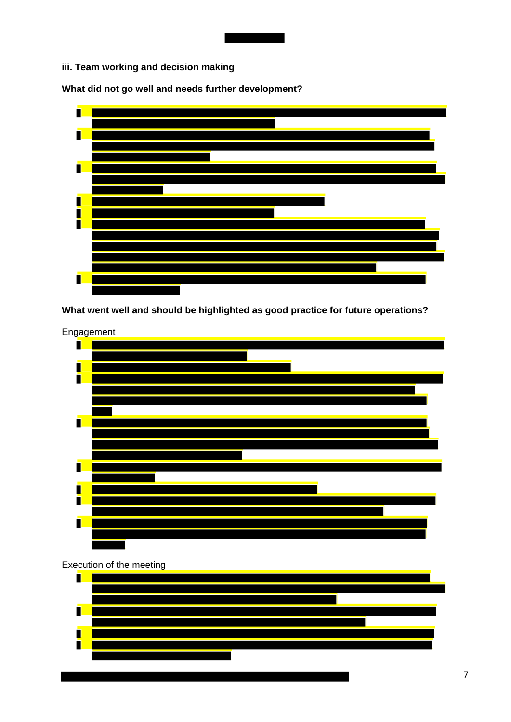**iii. Team working and decision making** 

**What did not go well and needs further development?** 



**What went well and should be highlighted as good practice for future operations?** 



#### Execution of the meeting

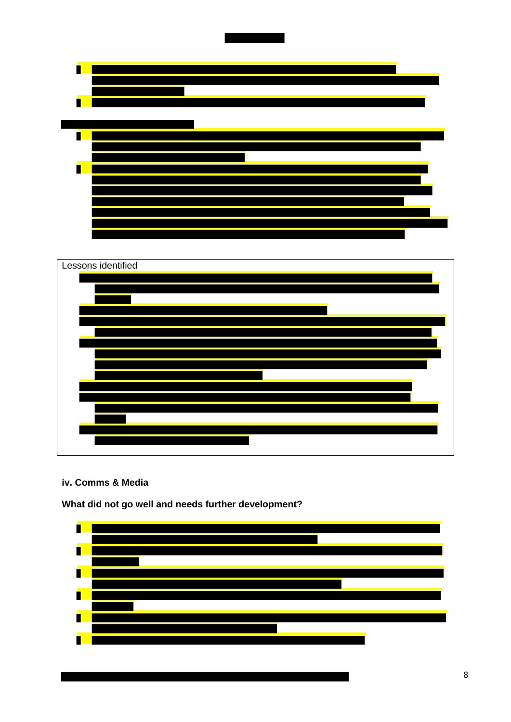



**iv. Comms & Media** 

**What did not go well and needs further development?** 

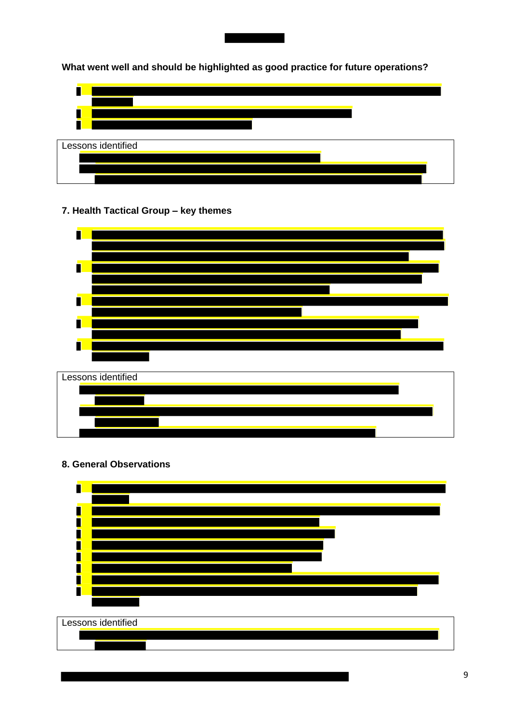

**What went well and should be highlighted as good practice for future operations?** 



# **7. Health Tactical Group – key themes**



**8. General Observations** 

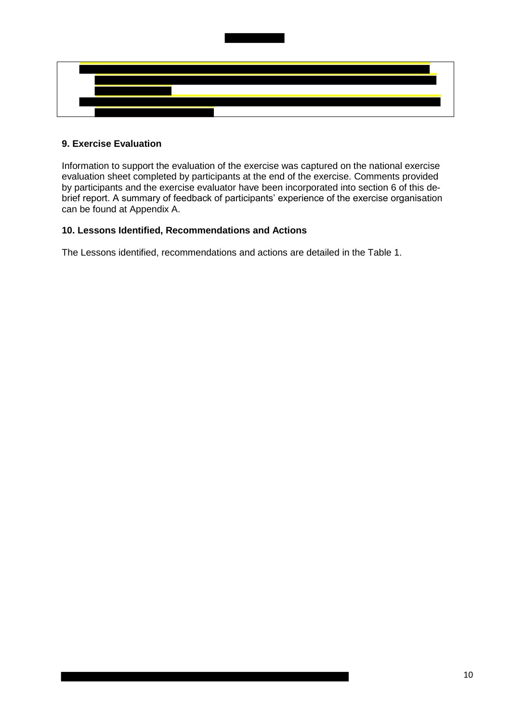

# **9. Exercise Evaluation**

Information to support the evaluation of the exercise was captured on the national exercise evaluation sheet completed by participants at the end of the exercise. Comments provided by participants and the exercise evaluator have been incorporated into section 6 of this debrief report. A summary of feedback of participants' experience of the exercise organisation can be found at Appendix A.

#### **10. Lessons Identified, Recommendations and Actions**

The Lessons identified, recommendations and actions are detailed in the Table 1.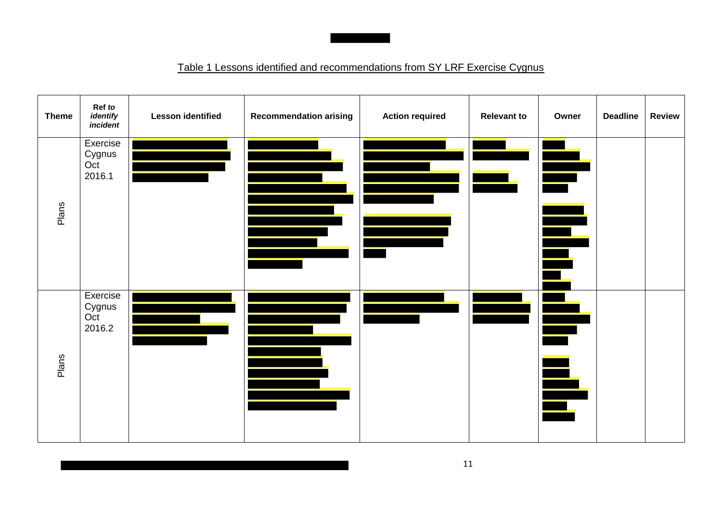# Table 1 Lessons identified and recommendations from SY LRF Exercise Cygnus

| <b>Theme</b> | Ref to<br>identify<br>incident      | <b>Lesson identified</b> | <b>Recommendation arising</b> | <b>Action required</b> | <b>Relevant to</b> | Owner                    | <b>Deadline</b> | <b>Review</b> |
|--------------|-------------------------------------|--------------------------|-------------------------------|------------------------|--------------------|--------------------------|-----------------|---------------|
| Plans        | Exercise<br>Cygnus<br>Oct<br>2016.1 |                          |                               |                        |                    |                          |                 |               |
| Plans        | Exercise<br>Cygnus<br>Oct<br>2016.2 |                          |                               |                        |                    | $\overline{\phantom{a}}$ |                 |               |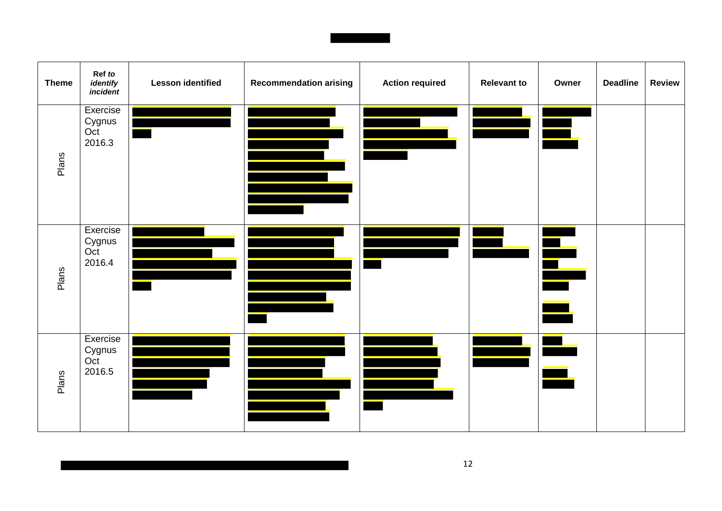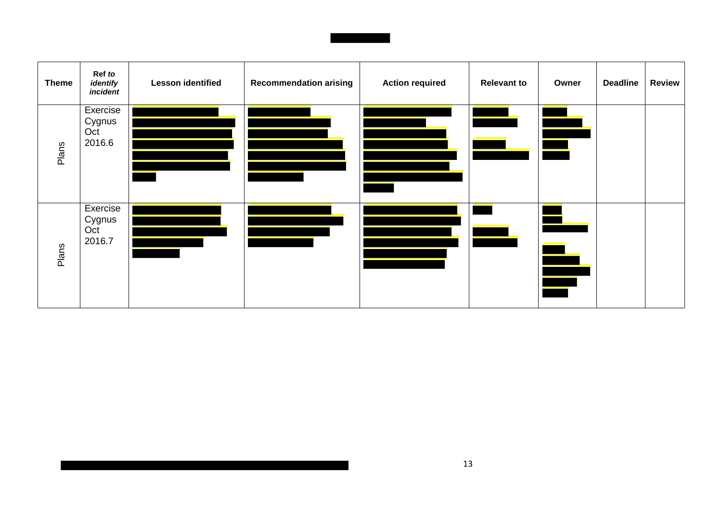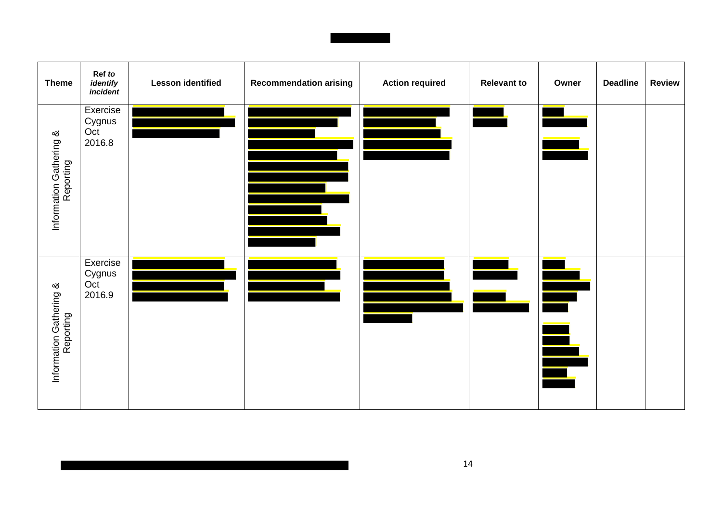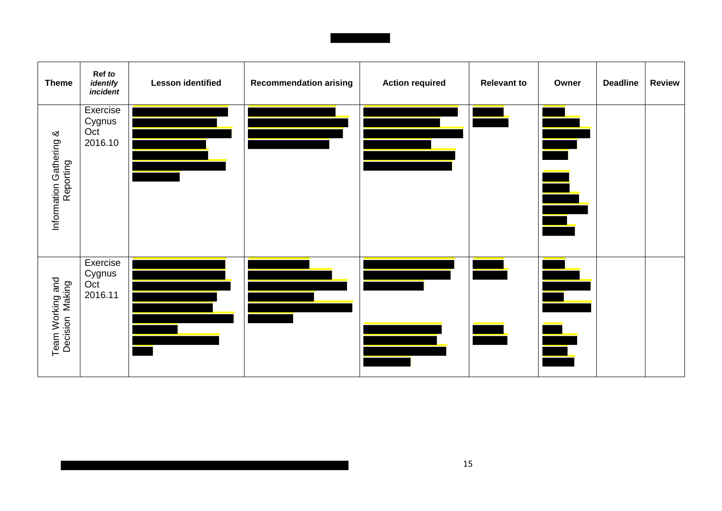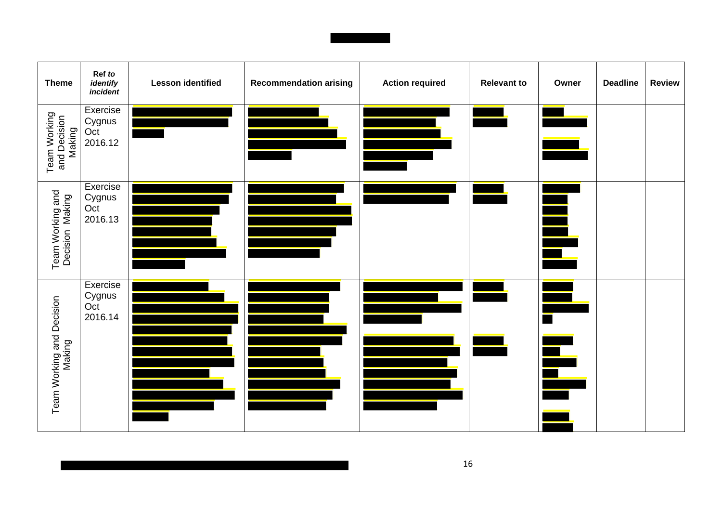| <b>Theme</b>                           | Ref to<br>identify<br>incident       | <b>Lesson identified</b> | <b>Recommendation arising</b> | <b>Action required</b> | <b>Relevant to</b> | Owner | <b>Deadline</b> | <b>Review</b> |
|----------------------------------------|--------------------------------------|--------------------------|-------------------------------|------------------------|--------------------|-------|-----------------|---------------|
| Team Working<br>and Decision<br>Making | Exercise<br>Cygnus<br>Oct<br>2016.12 |                          |                               |                        |                    |       |                 |               |
| Team Working and<br>Decision Making    | Exercise<br>Cygnus<br>Oct<br>2016.13 |                          |                               |                        |                    |       |                 |               |
| Team Working and Decision<br>Making    | Exercise<br>Cygnus<br>Oct<br>2016.14 |                          |                               |                        |                    | ╞     |                 |               |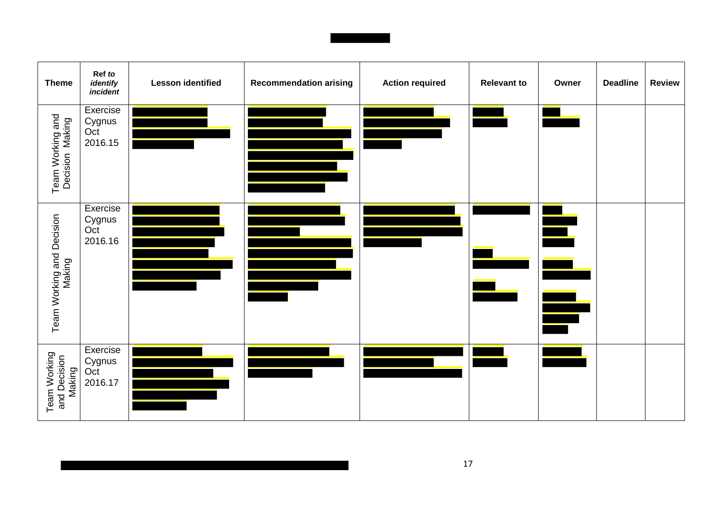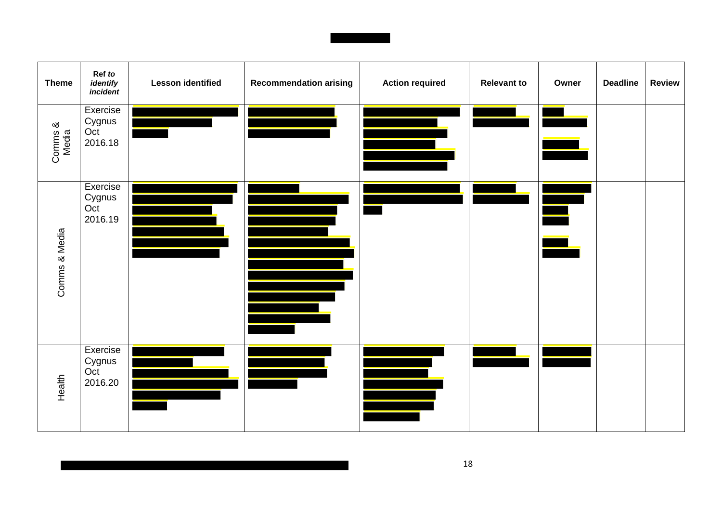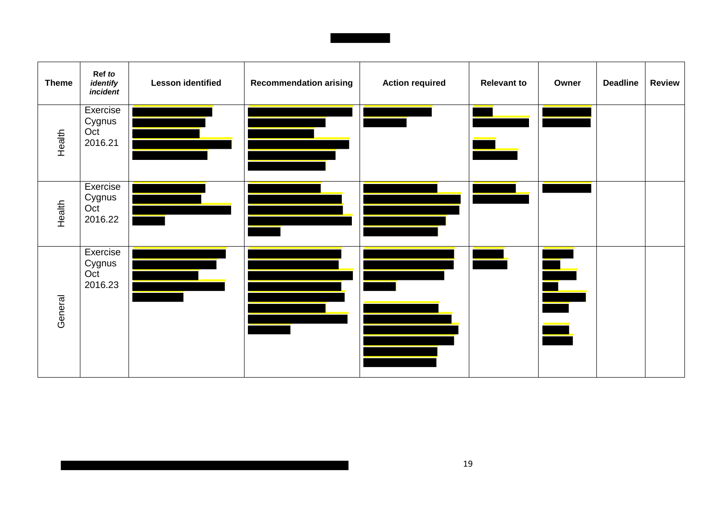| <b>Theme</b> | Ref to<br>identify<br>incident       | <b>Lesson identified</b> | <b>Recommendation arising</b> | <b>Action required</b> | <b>Relevant to</b> | Owner               | <b>Deadline</b> | <b>Review</b> |
|--------------|--------------------------------------|--------------------------|-------------------------------|------------------------|--------------------|---------------------|-----------------|---------------|
| Health       | Exercise<br>Cygnus<br>Oct<br>2016.21 |                          |                               |                        |                    |                     |                 |               |
| Health       | Exercise<br>Cygnus<br>Oct<br>2016.22 |                          |                               |                        |                    |                     |                 |               |
| General      | Exercise<br>Cygnus<br>Oct<br>2016.23 |                          |                               |                        |                    | É<br>$\blacksquare$ |                 |               |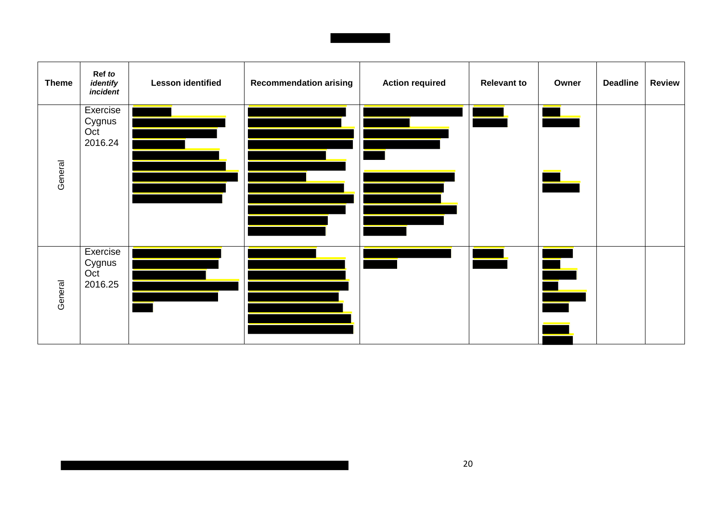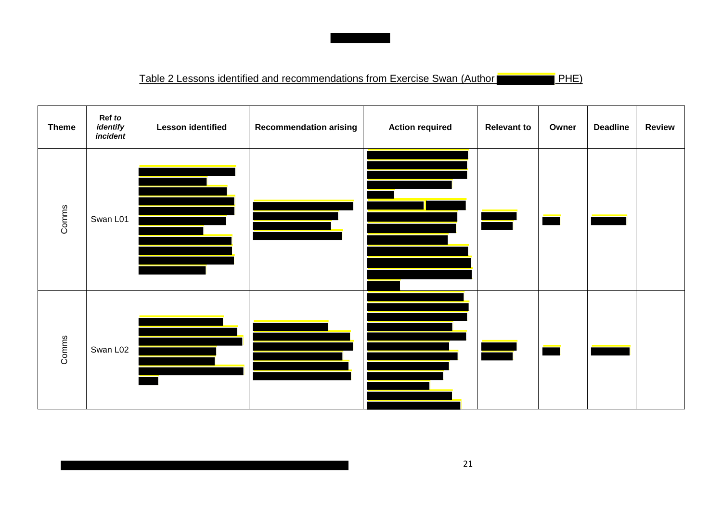

| <b>Theme</b> | Ref to<br>identify<br>incident | <b>Lesson identified</b> | <b>Recommendation arising</b> | <b>Action required</b> | <b>Relevant to</b> | Owner | <b>Deadline</b> | <b>Review</b> |
|--------------|--------------------------------|--------------------------|-------------------------------|------------------------|--------------------|-------|-----------------|---------------|
| Comms        | Swan L01                       |                          |                               |                        |                    |       |                 |               |
| Comms        | Swan L02                       |                          |                               |                        |                    |       |                 |               |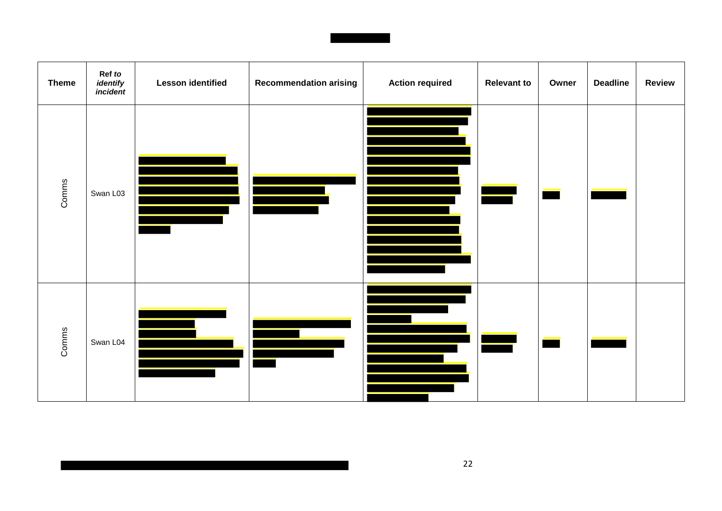

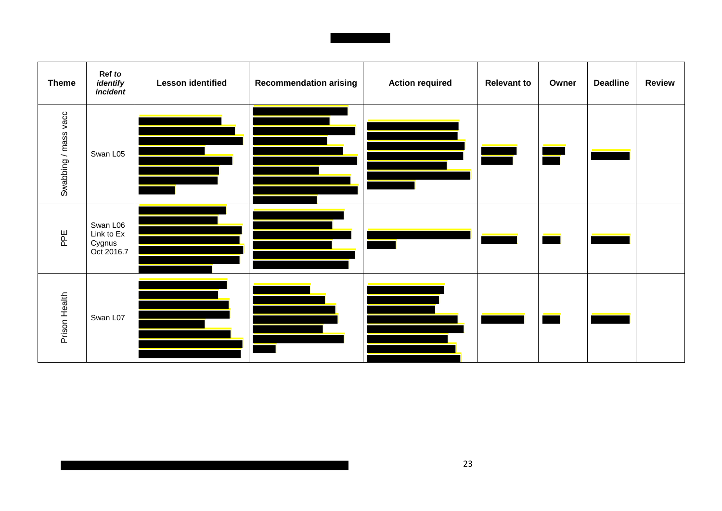

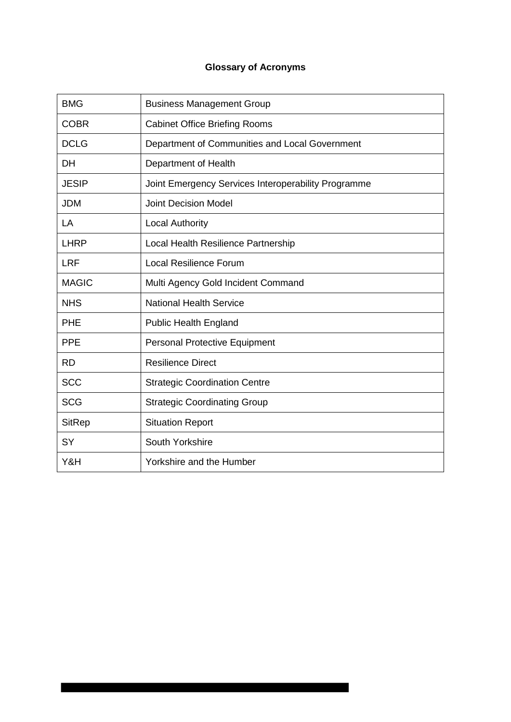# **Glossary of Acronyms**

| <b>BMG</b>    | <b>Business Management Group</b>                    |
|---------------|-----------------------------------------------------|
| <b>COBR</b>   | <b>Cabinet Office Briefing Rooms</b>                |
| <b>DCLG</b>   | Department of Communities and Local Government      |
| <b>DH</b>     | Department of Health                                |
| <b>JESIP</b>  | Joint Emergency Services Interoperability Programme |
| <b>JDM</b>    | <b>Joint Decision Model</b>                         |
| LA            | <b>Local Authority</b>                              |
| <b>LHRP</b>   | Local Health Resilience Partnership                 |
| <b>LRF</b>    | <b>Local Resilience Forum</b>                       |
| <b>MAGIC</b>  | Multi Agency Gold Incident Command                  |
| <b>NHS</b>    | <b>National Health Service</b>                      |
| <b>PHE</b>    | <b>Public Health England</b>                        |
| <b>PPE</b>    | <b>Personal Protective Equipment</b>                |
| <b>RD</b>     | <b>Resilience Direct</b>                            |
| <b>SCC</b>    | <b>Strategic Coordination Centre</b>                |
| <b>SCG</b>    | <b>Strategic Coordinating Group</b>                 |
| <b>SitRep</b> | <b>Situation Report</b>                             |
| <b>SY</b>     | South Yorkshire                                     |
| Y&H           | Yorkshire and the Humber                            |